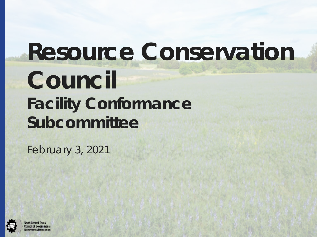# **Resource Conservation**

1

## **Council Facility Conformance Subcommittee**

February 3, 2021

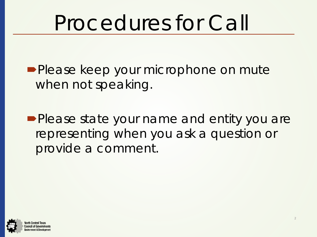## Procedures for Call

**Please keep your microphone on mute** when not speaking.

**Please state your name and entity you are** representing when you ask a question or provide a comment.

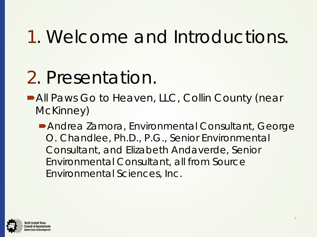## 1. Welcome and Introductions.

## 2. Presentation.

■ All Paws Go to Heaven, LLC, Collin County (near McKinney)

Andrea Zamora, Environmental Consultant, George O. Chandlee, Ph.D., P.G., Senior Environmental Consultant, and Elizabeth Andaverde, Senior Environmental Consultant, all from Source Environmental Sciences, Inc.

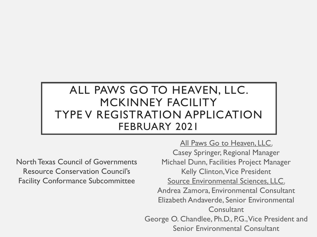### ALL PAWS GO TO HEAVEN, LLC. MCKINNEY FACILITY TYPE V REGISTRATION APPLICATION FEBRUARY 2021

North Texas Council of Governments Resource Conservation Council's Facility Conformance Subcommittee

All Paws Go to Heaven, LLC. Casey Springer, Regional Manager Michael Dunn, Facilities Project Manager Kelly Clinton, Vice President Source Environmental Sciences, LLC. Andrea Zamora, Environmental Consultant Elizabeth Andaverde, Senior Environmental **Consultant** George O. Chandlee, Ph.D., P.G., Vice President and Senior Environmental Consultant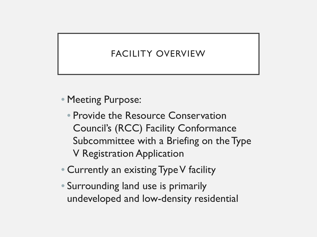### FACILITY OVERVIEW

• Meeting Purpose:

- Provide the Resource Conservation Council's (RCC) Facility Conformance Subcommittee with a Briefing on the Type V Registration Application
- Currently an existing Type V facility
- Surrounding land use is primarily undeveloped and low-density residential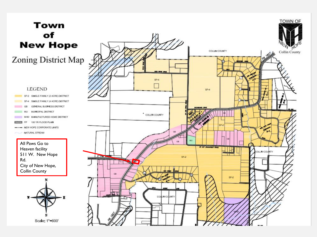### **Town** of **New Hope**

Zoning District Map

#### **LEGEND**

SF-2 SINGLE FAMILY (2 ACRE) DISTRICT  $SE-4$ SINGLE FAMILY (4 ACRE) DISTRICT GENERAL BUSINESS DISTRICT GB MUNICIPAL DISTRICT MO<sub>1</sub> MHD MANUFACTURED HOME DISTRICT FP. 100 YR FLOOD PLAIN VIIIA ----- NEW HOPE CORPORATE LIMITS NATURAL STREAM

All Paws Go to Heaven facility 511 W. New Hope Rd. City of New Hope, Collin County



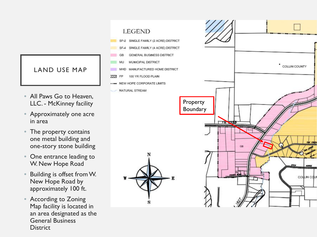### LAND USE MAP

- All Paws Go to Heaven, LLC. - McKinney facility
- Approximately one acre in area
- The property contains one metal building and one -story stone building
- One entrance leading to W. New Hope Road
- Building is offset from W. New Hope Road by approximately 100 ft.
- According to Zoning Map facility is located in an area designated as the General Business **District**

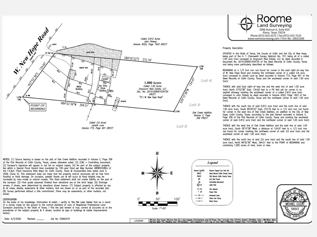

Roome Land Surveving 2000 Avenue G, Suite 810 Plano, Texas 75074 Phone (972) 423-4372 / Fax (972) 423-7523 www.roomesurveying.com / Firm No. 10013100

#### Property Description

SITUATED in the State of Texas, the County of Collin and the City of New Hope, being part of the H. T. Chenoweth Survey, Abstract No. 157, being all of a called 1.00 acre tract conveyed to Graycourt Real Estate, LLC by deed recorded in Document No. 20151209001534730 of the Deed Records of Collin County, Texas and being more particularly described as follows:

BEGINNING at a 1/2 inch iron rod found for corner in the east right-of-way line of W. New Hope Road and marking the northwest corner of a called 3.6 acre tract conveyed to Joneth Love by deed recorded in Volume 773, Page 401 of the Deed Records of Collin County. Texas and the southwest corner of said 1.00 acre tract:

THENCE with said East right-of-way line and the west line of said 1.00 acre tract. North 37'52'38" East. 134.60 feet to a PK Nail set for corner in an asphalt driveway marking the southwest corner of a called 0.912 acre tract conveyed to John Petway by deed recorded in Volume 4522, Page 1403 of the Deed Records of Collin County, Texas and the northwest corner of said 1.00 acre tract-

THENCE with the south line of said 0.912 acre tract and the north line of said 1.00 acre tract, South 85'00'22" East, 372.79 feet to a 1/2 inch iron rod found for corner in the west line of Oak Creek Addition, an addition to the City of New Hope, Collin County, Texas, accordina to the plat thereof recorded in Volume C. Page 356 of the Plat Records of Collin County, Texas and marking the southeast corner of said 0.912 acre tract and the northeast corner of said 1.00 acre tract;

THENCE with the west line of Oak Creek Addition and the east line of said 1.00 acre tract, South 29'15'38" West, a distance of 124.97 feet to a 1/2 inch iron rod found for corner marking the northwest corner of said 3.6 acre tract and the southeast corner of said 1.00 acre tract;

THENCE with the north line of said 3.6 acre tract and the south line of said 1.00 acre tract. North 84°52'36" West, 394.51 feet to the POINT of BEGINNING and containing 1.000 acres of land, more or less.

NOTES: (1) Source bearing is based on the plat of Oak Creek Addition recorded in Volume C, Page 356 of the Plat Records of Collin County, Texas, unless otherwise noted. (2) (CM) = Controlling monument. (3) Surveyor's signature will appear in red ink on original copies. (4) No part of the subject property lies within a Special Flood Hazard Area inundated by 100-year flood per Map Number 48085C0280J of the F.E.M.A. Flood Insurance Rate Maps for Collin County, Texas & Incorporated Area dated June 2, 2009. (Zone X). This statement does not imply that the property and/or structures will be free from flooding or flood damage. On occasion, greater floods can & will occur & flood heights may be increased by man-made or natural causes. This flood statement shall not create liability on the part of the surveyor. (5) Final grade assumed finished floor elevations are at the brick ledge. (6) Drainage arrows, if shown, were determined by elevations shown hereon. (7) Subject property is affected by any & all notes, details, easements & other matters, that are shown on or as part of the recorded plat. (8) Survey performed without a title commitment. There may be easements, or other matters, not shown.

#### CERTIFICATION

On the basis of my knowledge, information & belief, I certify to The Pet Loss Center that as a result of a survey made on the ground to the normal standard of care of Registered Professional Land Surveyors practicing in the State of Texas, I find the plat hereon is true, correct & accurate as to the boundaries of the subject property & if shown, location & type of buildings & visible improvements hereon.

Date: 4/3/2020 Job No. ES662479 Revised:







| RF=kon Rod Found ||RS=kon Rod Set | Cpd,=Capped ||OH=Cverhead Line||PP=Power Pole || EP=Light Pole || FH=Fire Hydrant | WV=Water Valve || WW=Water Web || WW=Water Web || WW=Water Web<br>||CM=Cas Meter||RI =Ruilding ||in || **LEGEND**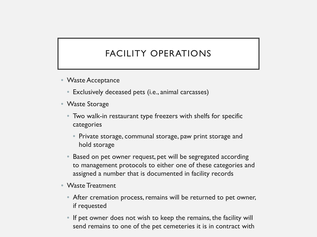### FACILITY OPERATIONS

- Waste Acceptance
	- Exclusively deceased pets (i.e., animal carcasses)
- Waste Storage
	- Two walk-in restaurant type freezers with shelfs for specific categories
		- Private storage, communal storage, paw print storage and hold storage
	- Based on pet owner request, pet will be segregated according to management protocols to either one of these categories and assigned a number that is documented in facility records
- Waste Treatment
	- After cremation process, remains will be returned to pet owner, if requested
	- If pet owner does not wish to keep the remains, the facility will send remains to one of the pet cemeteries it is in contract with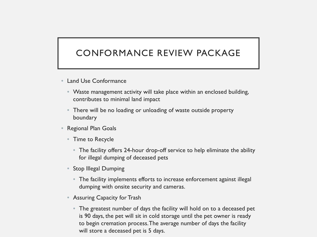### CONFORMANCE REVIEW PACKAGE

- Land Use Conformance
	- Waste management activity will take place within an enclosed building, contributes to minimal land impact
	- There will be no loading or unloading of waste outside property boundary
- Regional Plan Goals
	- Time to Recycle
		- The facility offers 24-hour drop-off service to help eliminate the ability for illegal dumping of deceased pets
	- Stop Illegal Dumping
		- The facility implements efforts to increase enforcement against illegal dumping with onsite security and cameras.
	- Assuring Capacity for Trash
		- The greatest number of days the facility will hold on to a deceased pet is 90 days, the pet will sit in cold storage until the pet owner is ready to begin cremation process. The average number of days the facility will store a deceased pet is 5 days.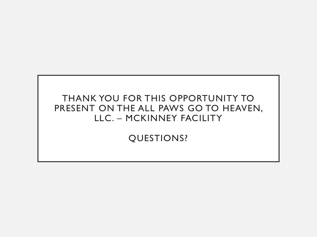### THANK YOU FOR THIS OPPORTUNITY TO PRESENT ON THE ALL PAWS GO TO HEAVEN, LLC. – MCKINNEY FACILITY

QUESTIONS?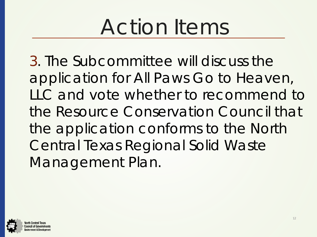## Action Items

3. The Subcommittee will discuss the application for All Paws Go to Heaven, LLC and vote whether to recommend to the Resource Conservation Council that the application conforms to the North Central Texas Regional Solid Waste Management Plan.

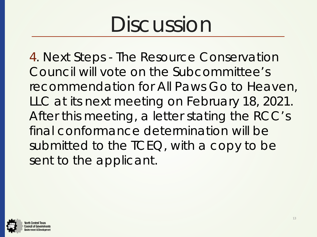## Discussion

4. Next Steps - The Resource Conservation Council will vote on the Subcommittee's recommendation for All Paws Go to Heaven, LLC at its next meeting on February 18, 2021. After this meeting, a letter stating the RCC's final conformance determination will be submitted to the TCEQ, with a copy to be sent to the applicant.

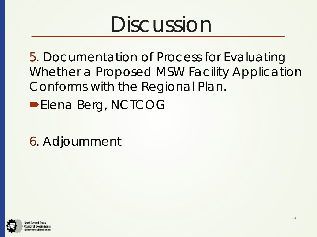## Discussion

5. Documentation of Process for Evaluating Whether a Proposed MSW Facility Application Conforms with the Regional Plan.

- **Elena Berg, NCTCOG**
- 6. Adjournment